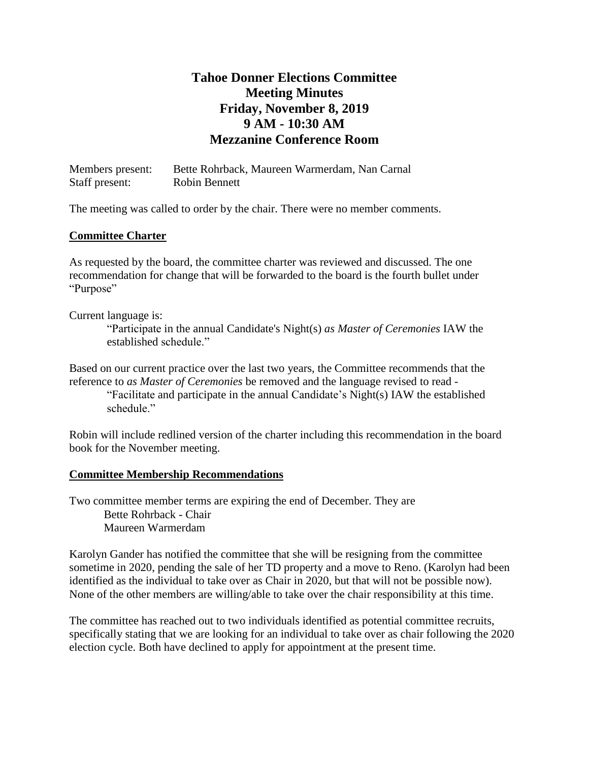# **Tahoe Donner Elections Committee Meeting Minutes Friday, November 8, 2019 9 AM - 10:30 AM Mezzanine Conference Room**

| Members present: | Bette Rohrback, Maureen Warmerdam, Nan Carnal |
|------------------|-----------------------------------------------|
| Staff present:   | Robin Bennett                                 |

The meeting was called to order by the chair. There were no member comments.

#### **Committee Charter**

As requested by the board, the committee charter was reviewed and discussed. The one recommendation for change that will be forwarded to the board is the fourth bullet under "Purpose"

Current language is:

"Participate in the annual Candidate's Night(s) *as Master of Ceremonies* IAW the established schedule."

Based on our current practice over the last two years, the Committee recommends that the reference to *as Master of Ceremonies* be removed and the language revised to read - "Facilitate and participate in the annual Candidate's Night(s) IAW the established schedule."

Robin will include redlined version of the charter including this recommendation in the board book for the November meeting.

### **Committee Membership Recommendations**

Two committee member terms are expiring the end of December. They are Bette Rohrback - Chair Maureen Warmerdam

Karolyn Gander has notified the committee that she will be resigning from the committee sometime in 2020, pending the sale of her TD property and a move to Reno. (Karolyn had been identified as the individual to take over as Chair in 2020, but that will not be possible now). None of the other members are willing/able to take over the chair responsibility at this time.

The committee has reached out to two individuals identified as potential committee recruits, specifically stating that we are looking for an individual to take over as chair following the 2020 election cycle. Both have declined to apply for appointment at the present time.